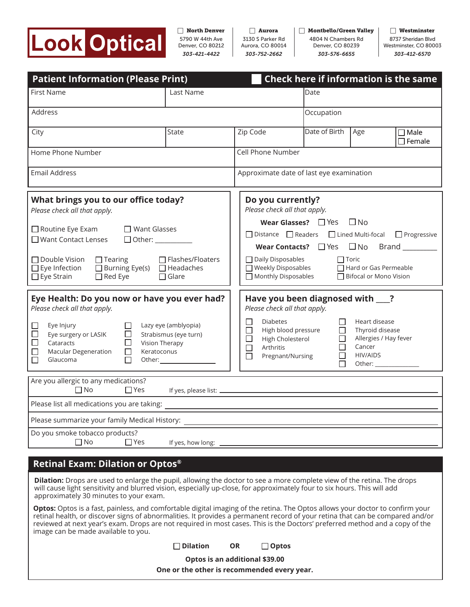

*303-752-2662* 3130 S Parker Rd Aurora, CO 80014  $\Box$  Aurora

*303-576-6655* 4804 N Chambers Rd Denver, CO 80239  $\Box$  Montbello/Green Valley  $\Box$  Westminster

*303-412-6570* 8737 Sheridan Blvd Westminster, CO 80003

| <b>Patient Information (Please Print)</b>                                                                                                                                                                                                                                                                                                                                |                                                                                                                                                                 | Check here if information is the same                                                                                                                                                                                                                                                                           |                                           |                                                                                                                                                                                                                                                                                                                          |                                 |
|--------------------------------------------------------------------------------------------------------------------------------------------------------------------------------------------------------------------------------------------------------------------------------------------------------------------------------------------------------------------------|-----------------------------------------------------------------------------------------------------------------------------------------------------------------|-----------------------------------------------------------------------------------------------------------------------------------------------------------------------------------------------------------------------------------------------------------------------------------------------------------------|-------------------------------------------|--------------------------------------------------------------------------------------------------------------------------------------------------------------------------------------------------------------------------------------------------------------------------------------------------------------------------|---------------------------------|
| First Name                                                                                                                                                                                                                                                                                                                                                               | Last Name                                                                                                                                                       |                                                                                                                                                                                                                                                                                                                 | Date                                      |                                                                                                                                                                                                                                                                                                                          |                                 |
| Address                                                                                                                                                                                                                                                                                                                                                                  |                                                                                                                                                                 | Occupation                                                                                                                                                                                                                                                                                                      |                                           |                                                                                                                                                                                                                                                                                                                          |                                 |
| City                                                                                                                                                                                                                                                                                                                                                                     | <b>State</b>                                                                                                                                                    | Zip Code                                                                                                                                                                                                                                                                                                        | Date of Birth                             | Age                                                                                                                                                                                                                                                                                                                      | $\square$ Male<br>$\Box$ Female |
| Home Phone Number                                                                                                                                                                                                                                                                                                                                                        |                                                                                                                                                                 | Cell Phone Number                                                                                                                                                                                                                                                                                               |                                           |                                                                                                                                                                                                                                                                                                                          |                                 |
| <b>Email Address</b>                                                                                                                                                                                                                                                                                                                                                     |                                                                                                                                                                 | Approximate date of last eye examination                                                                                                                                                                                                                                                                        |                                           |                                                                                                                                                                                                                                                                                                                          |                                 |
| What brings you to our office today?<br>Please check all that apply.<br>$\Box$ Want Glasses<br>$\square$ Routine Eye Exam<br>$\Box$ Want Contact Lenses<br>□ Other: ___________<br>□ Flashes/Floaters<br>$\Box$ Double Vision<br>$\Box$ Tearing<br>$\Box$ Burning Eye(s) $\Box$ Headaches<br>$\Box$ Eye Infection<br>$\Box$ Eye Strain<br>$\Box$ Red Eye<br>$\Box$ Glare |                                                                                                                                                                 | Do you currently?<br>Please check all that apply.<br><b>Wear Glasses?</b> $\Box$ Yes $\Box$ No<br>□ Distance □ Readers □ Lined Multi-focal □ Progressive<br>□ Daily Disposables<br>$\Box$ Toric<br>$\Box$ Weekly Disposables<br>Hard or Gas Permeable<br>$\Box$ Monthly Disposables<br>□ Bifocal or Mono Vision |                                           |                                                                                                                                                                                                                                                                                                                          |                                 |
| Eye Health: Do you now or have you ever had?<br>Please check all that apply.                                                                                                                                                                                                                                                                                             |                                                                                                                                                                 | Have you been diagnosed with __?<br>Please check all that apply.                                                                                                                                                                                                                                                |                                           |                                                                                                                                                                                                                                                                                                                          |                                 |
| Eye Injury<br>Eye surgery or LASIK<br>□<br>$\Box$<br>$\Box$<br>$\Box$<br>Cataracts<br>Vision Therapy<br>Macular Degeneration<br>Keratoconus<br>$\Box$<br>$\Box$<br>$\Box$<br>Glaucoma                                                                                                                                                                                    | Lazy eye (amblyopia)<br>Strabismus (eye turn)<br>Other: University of the state of the state of the state of the state of the state of the state of the state o | <b>Diabetes</b><br>U<br>High blood pressure<br>$\Box$<br>$\Box$<br>High Cholesterol<br>$\Box$<br>Arthritis<br>$\Box$<br>Pregnant/Nursing                                                                                                                                                                        | $\Box$<br>П<br>□<br>$\Box$<br>$\Box$<br>П | Heart disease<br>Thyroid disease<br>Allergies / Hay fever<br>Cancer<br><b>HIV/AIDS</b><br>Other: and the state of the state of the state of the state of the state of the state of the state of the state of the state of the state of the state of the state of the state of the state of the state of the state of the |                                 |
| Are you allergic to any medications?<br>$\Box$ No<br>$\Box$ Yes                                                                                                                                                                                                                                                                                                          |                                                                                                                                                                 |                                                                                                                                                                                                                                                                                                                 |                                           |                                                                                                                                                                                                                                                                                                                          |                                 |
| Please list all medications you are taking:                                                                                                                                                                                                                                                                                                                              |                                                                                                                                                                 |                                                                                                                                                                                                                                                                                                                 |                                           |                                                                                                                                                                                                                                                                                                                          |                                 |
| Please summarize your family Medical History:                                                                                                                                                                                                                                                                                                                            |                                                                                                                                                                 |                                                                                                                                                                                                                                                                                                                 |                                           |                                                                                                                                                                                                                                                                                                                          |                                 |
| Do you smoke tobacco products?<br>$\Box$ No<br>$\square$ Yes                                                                                                                                                                                                                                                                                                             | If yes, how long:                                                                                                                                               |                                                                                                                                                                                                                                                                                                                 |                                           |                                                                                                                                                                                                                                                                                                                          |                                 |
| Retinal Exam: Dilation or Optos®                                                                                                                                                                                                                                                                                                                                         |                                                                                                                                                                 |                                                                                                                                                                                                                                                                                                                 |                                           |                                                                                                                                                                                                                                                                                                                          |                                 |
|                                                                                                                                                                                                                                                                                                                                                                          |                                                                                                                                                                 |                                                                                                                                                                                                                                                                                                                 |                                           |                                                                                                                                                                                                                                                                                                                          |                                 |

**Dilation:** Drops are used to enlarge the pupil, allowing the doctor to see a more complete view of the retina. The drops will cause light sensitivity and blurred vision, especially up-close, for approximately four to six hours. This will add approximately 30 minutes to your exam.

**Optos:** Optos is a fast, painless, and comfortable digital imaging of the retina. The Optos allows your doctor to confirm your retinal health, or discover signs of abnormalities. It provides a permanent record of your retina that can be compared and/or reviewed at next year's exam. Drops are not required in most cases. This is the Doctors' preferred method and a copy of the image can be made available to you.

| $\Box$ Dilation | <b>OR</b> | $\Box$ Optos |
|-----------------|-----------|--------------|
|-----------------|-----------|--------------|

**Optos is an additional \$39.00**

**One or the other is recommended every year.**